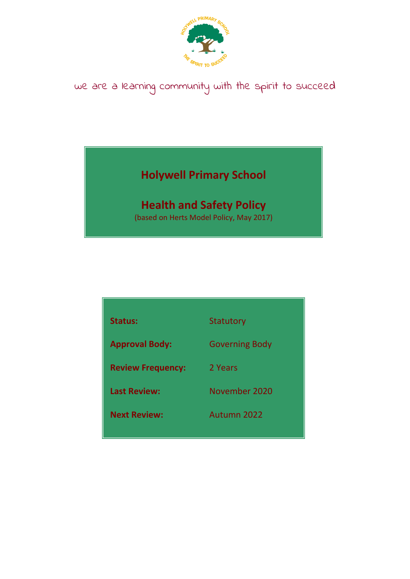

## we are a learning community with the spirit to succeed

## **Holywell Primary School**

# **Health and Safety Policy**

(based on Herts Model Policy, May 2017)

| <b>Status:</b>           | <b>Statutory</b>      |
|--------------------------|-----------------------|
| <b>Approval Body:</b>    | <b>Governing Body</b> |
| <b>Review Frequency:</b> | 2 Years               |
| <b>Last Review:</b>      | November 2020         |
| <b>Next Review:</b>      | Autumn 2022           |
|                          |                       |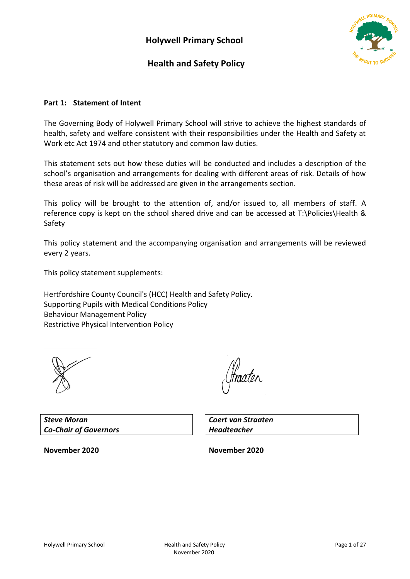

### **Health and Safety Policy**

### **Part 1: Statement of Intent**

The Governing Body of Holywell Primary School will strive to achieve the highest standards of health, safety and welfare consistent with their responsibilities under the Health and Safety at Work etc Act 1974 and other statutory and common law duties.

This statement sets out how these duties will be conducted and includes a description of the school's organisation and arrangements for dealing with different areas of risk. Details of how these areas of risk will be addressed are given in the arrangements section.

This policy will be brought to the attention of, and/or issued to, all members of staff. A reference copy is kept on the school shared drive and can be accessed at T:\Policies\Health & Safety

This policy statement and the accompanying organisation and arrangements will be reviewed every 2 years.

This policy statement supplements:

Hertfordshire County Council's (HCC) Health and Safety Policy. Supporting Pupils with Medical Conditions Policy Behaviour Management Policy Restrictive Physical Intervention Policy



fraaten

*Steve Moran Co-Chair of Governors*

*Coert van Straaten Headteacher*

**November 2020 November 2020**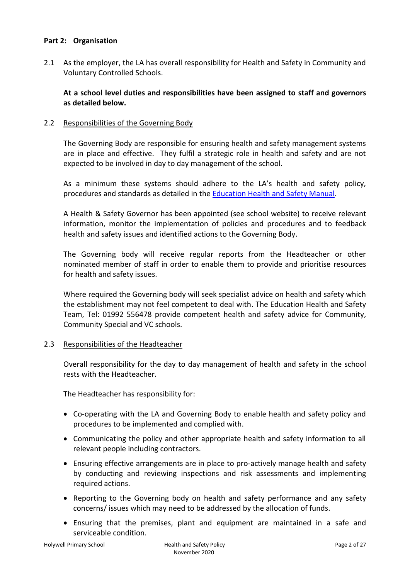### **Part 2: Organisation**

2.1 As the employer, the LA has overall responsibility for Health and Safety in Community and Voluntary Controlled Schools.

**At a school level duties and responsibilities have been assigned to staff and governors as detailed below.**

### 2.2 Responsibilities of the Governing Body

The Governing Body are responsible for ensuring health and safety management systems are in place and effective. They fulfil a strategic role in health and safety and are not expected to be involved in day to day management of the school.

As a minimum these systems should adhere to the LA's health and safety policy, procedures and standards as detailed in the [Education Health and Safety Manual.](http://www.thegrid.org.uk/info/healthandsafety/manual.shtml)

A Health & Safety Governor has been appointed (see school website) to receive relevant information, monitor the implementation of policies and procedures and to feedback health and safety issues and identified actions to the Governing Body.

The Governing body will receive regular reports from the Headteacher or other nominated member of staff in order to enable them to provide and prioritise resources for health and safety issues.

Where required the Governing body will seek specialist advice on health and safety which the establishment may not feel competent to deal with. The Education Health and Safety Team, Tel: 01992 556478 provide competent health and safety advice for Community, Community Special and VC schools.

### 2.3 Responsibilities of the Headteacher

Overall responsibility for the day to day management of health and safety in the school rests with the Headteacher.

The Headteacher has responsibility for:

- Co-operating with the LA and Governing Body to enable health and safety policy and procedures to be implemented and complied with.
- Communicating the policy and other appropriate health and safety information to all relevant people including contractors.
- Ensuring effective arrangements are in place to pro-actively manage health and safety by conducting and reviewing inspections and risk assessments and implementing required actions.
- Reporting to the Governing body on health and safety performance and any safety concerns/ issues which may need to be addressed by the allocation of funds.
- Ensuring that the premises, plant and equipment are maintained in a safe and serviceable condition.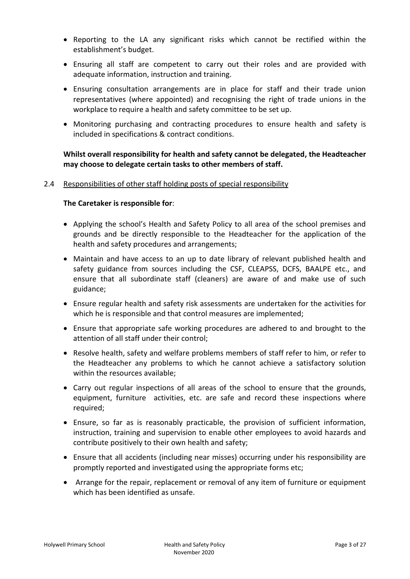- Reporting to the LA any significant risks which cannot be rectified within the establishment's budget.
- Ensuring all staff are competent to carry out their roles and are provided with adequate information, instruction and training.
- Ensuring consultation arrangements are in place for staff and their trade union representatives (where appointed) and recognising the right of trade unions in the workplace to require a health and safety committee to be set up.
- Monitoring purchasing and contracting procedures to ensure health and safety is included in specifications & contract conditions.

### **Whilst overall responsibility for health and safety cannot be delegated, the Headteacher may choose to delegate certain tasks to other members of staff.**

### 2.4 Responsibilities of other staff holding posts of special responsibility

### **The Caretaker is responsible for**:

- Applying the school's Health and Safety Policy to all area of the school premises and grounds and be directly responsible to the Headteacher for the application of the health and safety procedures and arrangements;
- Maintain and have access to an up to date library of relevant published health and safety guidance from sources including the CSF, CLEAPSS, DCFS, BAALPE etc., and ensure that all subordinate staff (cleaners) are aware of and make use of such guidance;
- Ensure regular health and safety risk assessments are undertaken for the activities for which he is responsible and that control measures are implemented;
- Ensure that appropriate safe working procedures are adhered to and brought to the attention of all staff under their control;
- Resolve health, safety and welfare problems members of staff refer to him, or refer to the Headteacher any problems to which he cannot achieve a satisfactory solution within the resources available;
- Carry out regular inspections of all areas of the school to ensure that the grounds, equipment, furniture activities, etc. are safe and record these inspections where required;
- Ensure, so far as is reasonably practicable, the provision of sufficient information, instruction, training and supervision to enable other employees to avoid hazards and contribute positively to their own health and safety;
- Ensure that all accidents (including near misses) occurring under his responsibility are promptly reported and investigated using the appropriate forms etc;
- Arrange for the repair, replacement or removal of any item of furniture or equipment which has been identified as unsafe.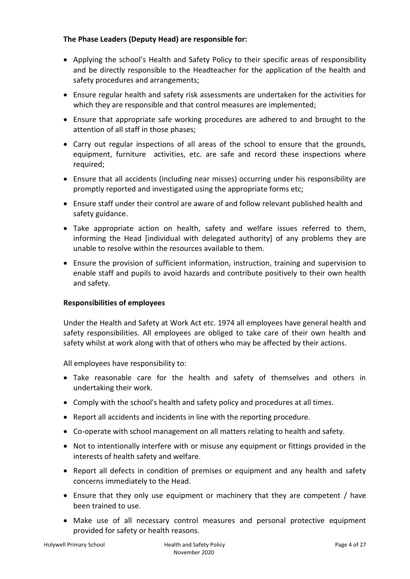### **The Phase Leaders (Deputy Head) are responsible for:**

- Applying the school's Health and Safety Policy to their specific areas of responsibility and be directly responsible to the Headteacher for the application of the health and safety procedures and arrangements;
- Ensure regular health and safety risk assessments are undertaken for the activities for which they are responsible and that control measures are implemented;
- Ensure that appropriate safe working procedures are adhered to and brought to the attention of all staff in those phases;
- Carry out regular inspections of all areas of the school to ensure that the grounds, equipment, furniture activities, etc. are safe and record these inspections where required;
- Ensure that all accidents (including near misses) occurring under his responsibility are promptly reported and investigated using the appropriate forms etc;
- Ensure staff under their control are aware of and follow relevant published health and safety guidance.
- Take appropriate action on health, safety and welfare issues referred to them, informing the Head [individual with delegated authority] of any problems they are unable to resolve within the resources available to them.
- Ensure the provision of sufficient information, instruction, training and supervision to enable staff and pupils to avoid hazards and contribute positively to their own health and safety.

### **Responsibilities of employees**

Under the Health and Safety at Work Act etc. 1974 all employees have general health and safety responsibilities. All employees are obliged to take care of their own health and safety whilst at work along with that of others who may be affected by their actions.

All employees have responsibility to:

- Take reasonable care for the health and safety of themselves and others in undertaking their work.
- Comply with the school's health and safety policy and procedures at all times.
- Report all accidents and incidents in line with the reporting procedure.
- Co-operate with school management on all matters relating to health and safety.
- Not to intentionally interfere with or misuse any equipment or fittings provided in the interests of health safety and welfare.
- Report all defects in condition of premises or equipment and any health and safety concerns immediately to the Head.
- Ensure that they only use equipment or machinery that they are competent / have been trained to use.
- Make use of all necessary control measures and personal protective equipment provided for safety or health reasons.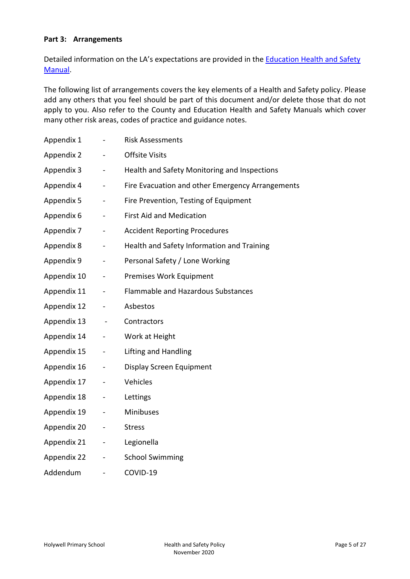### **Part 3: Arrangements**

Detailed information on the LA's expectations are provided in th[e Education Health and Safety](http://www.thegrid.org.uk/info/healthandsafety/manual.shtml)  [Manual.](http://www.thegrid.org.uk/info/healthandsafety/manual.shtml)

The following list of arrangements covers the key elements of a Health and Safety policy. Please add any others that you feel should be part of this document and/or delete those that do not apply to you. Also refer to the County and Education Health and Safety Manuals which cover many other risk areas, codes of practice and guidance notes.

| Appendix 1  |                              | <b>Risk Assessments</b>                          |
|-------------|------------------------------|--------------------------------------------------|
| Appendix 2  |                              | <b>Offsite Visits</b>                            |
| Appendix 3  | $\blacksquare$               | Health and Safety Monitoring and Inspections     |
| Appendix 4  | $\blacksquare$               | Fire Evacuation and other Emergency Arrangements |
| Appendix 5  |                              | Fire Prevention, Testing of Equipment            |
| Appendix 6  | $\qquad \qquad \blacksquare$ | <b>First Aid and Medication</b>                  |
| Appendix 7  | $\blacksquare$               | <b>Accident Reporting Procedures</b>             |
| Appendix 8  | $\qquad \qquad \blacksquare$ | Health and Safety Information and Training       |
| Appendix 9  | $\overline{a}$               | Personal Safety / Lone Working                   |
| Appendix 10 | $\blacksquare$               | Premises Work Equipment                          |
| Appendix 11 |                              | <b>Flammable and Hazardous Substances</b>        |
| Appendix 12 |                              | Asbestos                                         |
| Appendix 13 | $\blacksquare$               | Contractors                                      |
| Appendix 14 | $\qquad \qquad \blacksquare$ | Work at Height                                   |
| Appendix 15 | $\blacksquare$               | Lifting and Handling                             |
| Appendix 16 | $\qquad \qquad \blacksquare$ | Display Screen Equipment                         |
| Appendix 17 | $\overline{\phantom{0}}$     | Vehicles                                         |
| Appendix 18 |                              | Lettings                                         |
| Appendix 19 |                              | Minibuses                                        |
| Appendix 20 | $\blacksquare$               | <b>Stress</b>                                    |
| Appendix 21 | $\overline{\phantom{0}}$     | Legionella                                       |
| Appendix 22 | $\qquad \qquad \blacksquare$ | <b>School Swimming</b>                           |
| Addendum    | $\overline{\phantom{a}}$     | COVID-19                                         |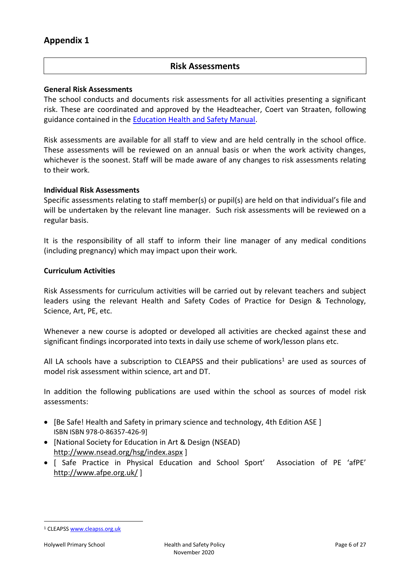### **Risk Assessments**

#### **General Risk Assessments**

The school conducts and documents risk assessments for all activities presenting a significant risk. These are coordinated and approved by the Headteacher, Coert van Straaten, following guidance contained in the [Education Health and Safety Manual.](http://www.thegrid.org.uk/info/healthandsafety/manual.shtml#r)

Risk assessments are available for all staff to view and are held centrally in the school office. These assessments will be reviewed on an annual basis or when the work activity changes, whichever is the soonest. Staff will be made aware of any changes to risk assessments relating to their work.

#### **Individual Risk Assessments**

Specific assessments relating to staff member(s) or pupil(s) are held on that individual's file and will be undertaken by the relevant line manager*.* Such risk assessments will be reviewed on a regular basis.

It is the responsibility of all staff to inform their line manager of any medical conditions (including pregnancy) which may impact upon their work.

#### **Curriculum Activities**

Risk Assessments for curriculum activities will be carried out by relevant teachers and subject leaders using the relevant Health and Safety Codes of Practice for Design & Technology, Science, Art, PE, etc.

Whenever a new course is adopted or developed all activities are checked against these and significant findings incorporated into texts in daily use scheme of work/lesson plans etc.

All LA schools have a subscription to CLEAPSS and their publications<sup>1</sup> are used as sources of model risk assessment within science, art and DT.

In addition the following publications are used within the school as sources of model risk assessments:

- [Be Safe! Health and Safety in primary science and technology, 4th Edition ASE] ISBN ISBN 978-0-86357-426-9]
- [National Society for Education in Art & Design (NSEAD) <http://www.nsead.org/hsg/index.aspx> ]
- [ Safe Practice in Physical Education and School Sport' Association of PE 'afPE' <http://www.afpe.org.uk/> ]

 $\overline{a}$ 

<sup>1</sup> CLEAPS[S www.cleapss.org.uk](http://www.cleapss.org.uk/)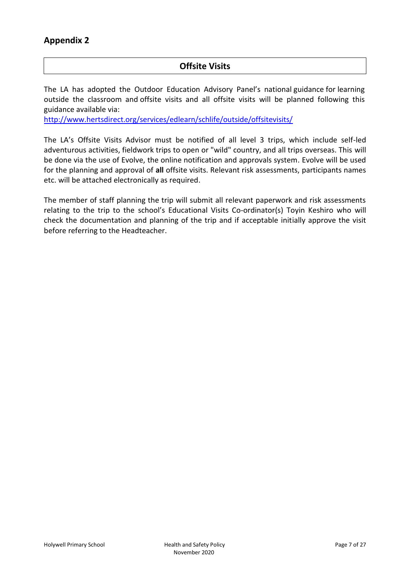### **Offsite Visits**

The LA has adopted the Outdoor Education Advisory Panel's national guidance for learning outside the classroom and offsite visits and all offsite visits will be planned following this guidance available via:

<http://www.hertsdirect.org/services/edlearn/schlife/outside/offsitevisits/>

The LA's Offsite Visits Advisor must be notified of all level 3 trips, which include self-led adventurous activities, fieldwork trips to open or "wild" country, and all trips overseas. This will be done via the use of Evolve, the online notification and approvals system. Evolve will be used for the planning and approval of **all** offsite visits. Relevant risk assessments, participants names etc. will be attached electronically as required.

The member of staff planning the trip will submit all relevant paperwork and risk assessments relating to the trip to the school's Educational Visits Co-ordinator(s) Toyin Keshiro who will check the documentation and planning of the trip and if acceptable initially approve the visit before referring to the Headteacher.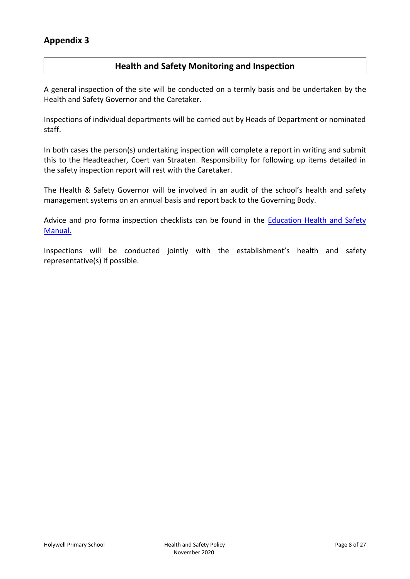### **Health and Safety Monitoring and Inspection**

A general inspection of the site will be conducted on a termly basis and be undertaken by the Health and Safety Governor and the Caretaker.

Inspections of individual departments will be carried out by Heads of Department or nominated staff.

In both cases the person(s) undertaking inspection will complete a report in writing and submit this to the Headteacher, Coert van Straaten. Responsibility for following up items detailed in the safety inspection report will rest with the Caretaker.

The Health & Safety Governor will be involved in an audit of the school's health and safety management systems on an annual basis and report back to the Governing Body.

Advice and pro forma inspection checklists can be found in the Education Health and Safety [Manual.](http://www.thegrid.org.uk/info/healthandsafety/manual.shtml#A)

Inspections will be conducted jointly with the establishment's health and safety representative(s) if possible.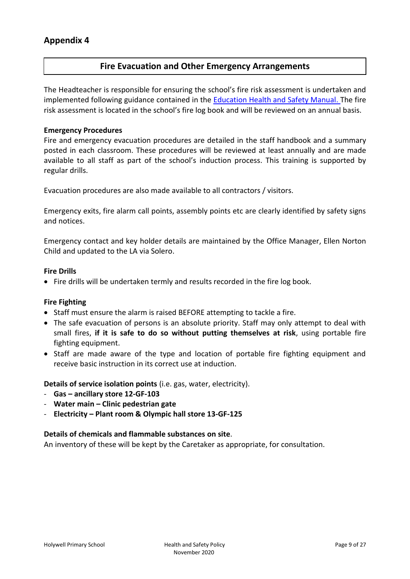### **Fire Evacuation and Other Emergency Arrangements**

The Headteacher is responsible for ensuring the school's fire risk assessment is undertaken and implemented following guidance contained in the [Education Health and Safety Manual. T](http://www.thegrid.org.uk/info/healthandsafety/fire_safety.shtml)he fire risk assessment is located in the school's fire log book and will be reviewed on an annual basis.

### **Emergency Procedures**

Fire and emergency evacuation procedures are detailed in the staff handbook and a summary posted in each classroom. These procedures will be reviewed at least annually and are made available to all staff as part of the school's induction process. This training is supported by regular drills.

Evacuation procedures are also made available to all contractors / visitors.

Emergency exits, fire alarm call points, assembly points etc are clearly identified by safety signs and notices.

Emergency contact and key holder details are maintained by the Office Manager, Ellen Norton Child and updated to the LA via Solero.

### **Fire Drills**

Fire drills will be undertaken termly and results recorded in the fire log book.

### **Fire Fighting**

- Staff must ensure the alarm is raised BEFORE attempting to tackle a fire.
- The safe evacuation of persons is an absolute priority. Staff may only attempt to deal with small fires, **if it is safe to do so without putting themselves at risk**, using portable fire fighting equipment.
- Staff are made aware of the type and location of portable fire fighting equipment and receive basic instruction in its correct use at induction.

**Details of service isolation points** (i.e. gas, water, electricity).

- **Gas – ancillary store 12-GF-103**
- **Water main – Clinic pedestrian gate**
- **Electricity – Plant room & Olympic hall store 13-GF-125**

### **Details of chemicals and flammable substances on site**.

An inventory of these will be kept by the Caretaker as appropriate, for consultation.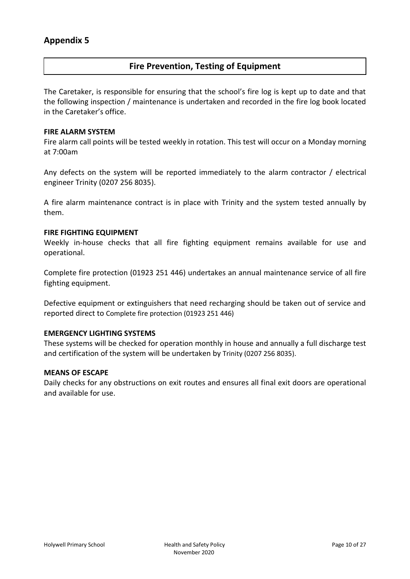### **Fire Prevention, Testing of Equipment**

The Caretaker, is responsible for ensuring that the school's fire log is kept up to date and that the following inspection / maintenance is undertaken and recorded in the fire log book located in the Caretaker's office.

#### **FIRE ALARM SYSTEM**

Fire alarm call points will be tested weekly in rotation. This test will occur on a Monday morning at 7:00am

Any defects on the system will be reported immediately to the alarm contractor / electrical engineer Trinity (0207 256 8035).

A fire alarm maintenance contract is in place with Trinity and the system tested annually by them.

#### **FIRE FIGHTING EQUIPMENT**

Weekly in-house checks that all fire fighting equipment remains available for use and operational.

Complete fire protection (01923 251 446) undertakes an annual maintenance service of all fire fighting equipment.

Defective equipment or extinguishers that need recharging should be taken out of service and reported direct to Complete fire protection (01923 251 446)

### **EMERGENCY LIGHTING SYSTEMS**

These systems will be checked for operation monthly in house and annually a full discharge test and certification of the system will be undertaken by Trinity (0207 256 8035).

#### **MEANS OF ESCAPE**

Daily checks for any obstructions on exit routes and ensures all final exit doors are operational and available for use.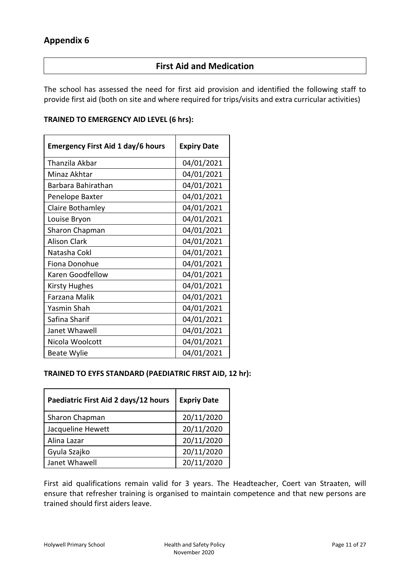### **First Aid and Medication**

The school has assessed the need for first aid provision and identified the following staff to provide first aid (both on site and where required for trips/visits and extra curricular activities)

### **TRAINED TO EMERGENCY AID LEVEL (6 hrs):**

| <b>Emergency First Aid 1 day/6 hours</b> | <b>Expiry Date</b> |
|------------------------------------------|--------------------|
| Thanzila Akbar                           | 04/01/2021         |
| Minaz Akhtar                             | 04/01/2021         |
| Barbara Bahirathan                       | 04/01/2021         |
| Penelope Baxter                          | 04/01/2021         |
| Claire Bothamley                         | 04/01/2021         |
| Louise Bryon                             | 04/01/2021         |
| Sharon Chapman                           | 04/01/2021         |
| <b>Alison Clark</b>                      | 04/01/2021         |
| Natasha Cokl                             | 04/01/2021         |
| Fiona Donohue                            | 04/01/2021         |
| Karen Goodfellow                         | 04/01/2021         |
| <b>Kirsty Hughes</b>                     | 04/01/2021         |
| Farzana Malik                            | 04/01/2021         |
| Yasmin Shah                              | 04/01/2021         |
| Safina Sharif                            | 04/01/2021         |
| Janet Whawell                            | 04/01/2021         |
| Nicola Woolcott                          | 04/01/2021         |
| <b>Beate Wylie</b>                       | 04/01/2021         |

### **TRAINED TO EYFS STANDARD (PAEDIATRIC FIRST AID, 12 hr):**

| Paediatric First Aid 2 days/12 hours | <b>Expriy Date</b> |
|--------------------------------------|--------------------|
| Sharon Chapman                       | 20/11/2020         |
| Jacqueline Hewett                    | 20/11/2020         |
| Alina Lazar                          | 20/11/2020         |
| Gyula Szajko                         | 20/11/2020         |
| Janet Whawell                        | 20/11/2020         |

First aid qualifications remain valid for 3 years. The Headteacher, Coert van Straaten, will ensure that refresher training is organised to maintain competence and that new persons are trained should first aiders leave.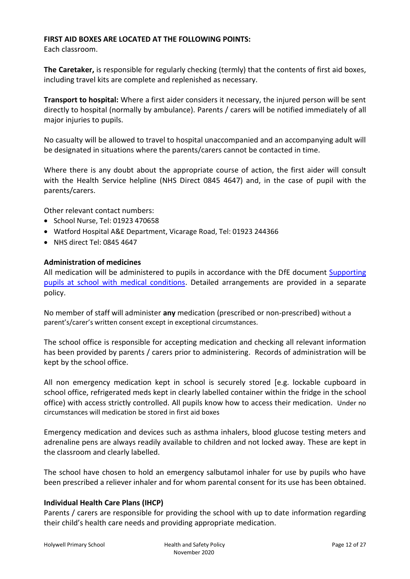### **FIRST AID BOXES ARE LOCATED AT THE FOLLOWING POINTS:**

Each classroom.

**The Caretaker,** is responsible for regularly checking (termly) that the contents of first aid boxes, including travel kits are complete and replenished as necessary.

**Transport to hospital:** Where a first aider considers it necessary, the injured person will be sent directly to hospital (normally by ambulance). Parents / carers will be notified immediately of all major injuries to pupils.

No casualty will be allowed to travel to hospital unaccompanied and an accompanying adult will be designated in situations where the parents/carers cannot be contacted in time.

Where there is any doubt about the appropriate course of action, the first aider will consult with the Health Service helpline (NHS Direct 0845 4647) and, in the case of pupil with the parents/carers.

Other relevant contact numbers:

- School Nurse, Tel: 01923 470658
- Watford Hospital A&E Department, Vicarage Road, Tel: 01923 244366
- NHS direct Tel: 0845 4647

### **Administration of medicines**

All medication will be administered to pupils in accordance with the DfE document [Supporting](https://www.gov.uk/government/publications/supporting-pupils-at-school-with-medical-conditions/)  [pupils at school with medical conditions.](https://www.gov.uk/government/publications/supporting-pupils-at-school-with-medical-conditions/) Detailed arrangements are provided in a separate policy.

No member of staff will administer **any** medication (prescribed or non-prescribed) without a parent's/carer's written consent except in exceptional circumstances.

The school office is responsible for accepting medication and checking all relevant information has been provided by parents / carers prior to administering. Records of administration will be kept by the school office.

All non emergency medication kept in school is securely stored [e.g. lockable cupboard in school office, refrigerated meds kept in clearly labelled container within the fridge in the school office) with access strictly controlled. All pupils know how to access their medication. Under no circumstances will medication be stored in first aid boxes

Emergency medication and devices such as asthma inhalers, blood glucose testing meters and adrenaline pens are always readily available to children and not locked away. These are kept in the classroom and clearly labelled.

The school have chosen to hold an emergency salbutamol inhaler for use by pupils who have been prescribed a reliever inhaler and for whom parental consent for its use has been obtained.

### **Individual Health Care Plans (IHCP)**

Parents / carers are responsible for providing the school with up to date information regarding their child's health care needs and providing appropriate medication.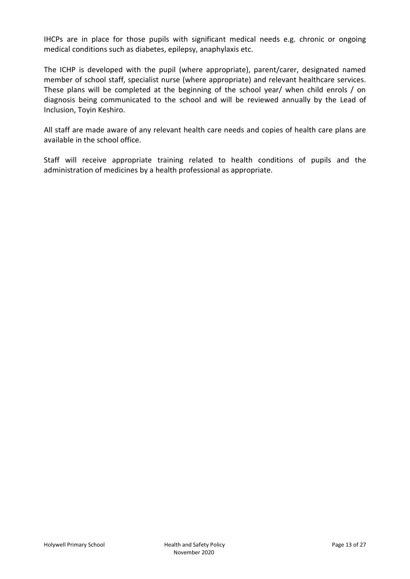IHCPs are in place for those pupils with significant medical needs e.g. chronic or ongoing medical conditions such as diabetes, epilepsy, anaphylaxis etc.

The ICHP is developed with the pupil (where appropriate), parent/carer, designated named member of school staff, specialist nurse (where appropriate) and relevant healthcare services. These plans will be completed at the beginning of the school year/ when child enrols / on diagnosis being communicated to the school and will be reviewed annually by the Lead of Inclusion, Toyin Keshiro.

All staff are made aware of any relevant health care needs and copies of health care plans are available in the school office.

Staff will receive appropriate training related to health conditions of pupils and the administration of medicines by a health professional as appropriate.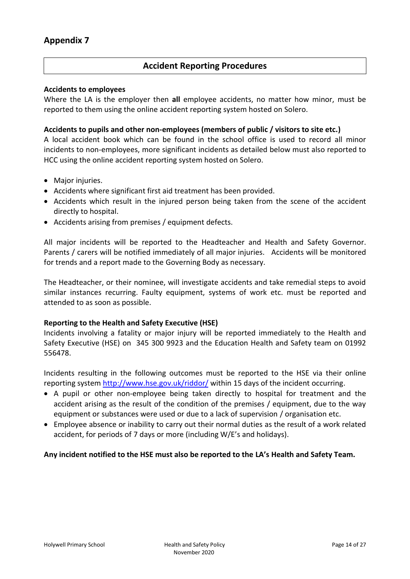### **Accident Reporting Procedures**

### **Accidents to employees**

Where the LA is the employer then **all** employee accidents, no matter how minor, must be reported to them using the online accident reporting system hosted on Solero.

### **Accidents to pupils and other non-employees (members of public / visitors to site etc.)**

A local accident book which can be found in the school office is used to record all minor incidents to non-employees, more significant incidents as detailed below must also reported to HCC using the online accident reporting system hosted on Solero.

- Major injuries.
- Accidents where significant first aid treatment has been provided.
- Accidents which result in the injured person being taken from the scene of the accident directly to hospital.
- Accidents arising from premises / equipment defects.

All major incidents will be reported to the Headteacher and Health and Safety Governor. Parents / carers will be notified immediately of all major injuries. Accidents will be monitored for trends and a report made to the Governing Body as necessary.

The Headteacher, or their nominee, will investigate accidents and take remedial steps to avoid similar instances recurring. Faulty equipment, systems of work etc. must be reported and attended to as soon as possible.

### **Reporting to the Health and Safety Executive (HSE)**

Incidents involving a fatality or major injury will be reported immediately to the Health and Safety Executive (HSE) on 345 300 9923 and the Education Health and Safety team on 01992 556478.

Incidents resulting in the following outcomes must be reported to the HSE via their online reporting system <http://www.hse.gov.uk/riddor/> within 15 days of the incident occurring.

- A pupil or other non-employee being taken directly to hospital for treatment and the accident arising as the result of the condition of the premises / equipment, due to the way equipment or substances were used or due to a lack of supervision / organisation etc.
- Employee absence or inability to carry out their normal duties as the result of a work related accident, for periods of 7 days or more (including W/E's and holidays).

### **Any incident notified to the HSE must also be reported to the LA's Health and Safety Team.**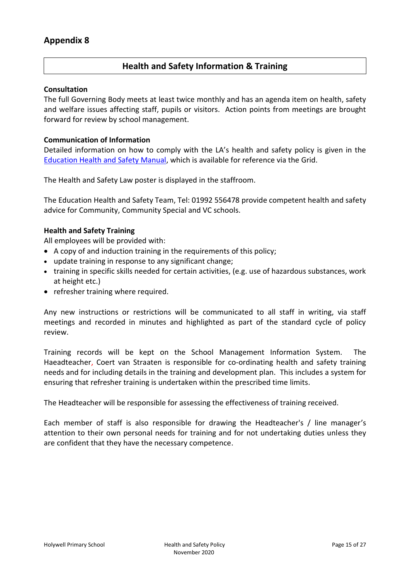### **Health and Safety Information & Training**

#### **Consultation**

The full Governing Body meets at least twice monthly and has an agenda item on health, safety and welfare issues affecting staff, pupils or visitors. Action points from meetings are brought forward for review by school management.

#### **Communication of Information**

Detailed information on how to comply with the LA's health and safety policy is given in the [Education Health and Safety Manual,](http://www.thegrid.org.uk/info/healthandsafety/manual.shtml#p) which is available for reference via the Grid.

The Health and Safety Law poster is displayed in the staffroom.

The Education Health and Safety Team, Tel: 01992 556478 provide competent health and safety advice for Community, Community Special and VC schools.

#### **Health and Safety Training**

All employees will be provided with:

- A copy of and induction training in the requirements of this policy;
- update training in response to any significant change;
- training in specific skills needed for certain activities, (e.g. use of hazardous substances, work at height etc.)
- refresher training where required.

Any new instructions or restrictions will be communicated to all staff in writing, via staff meetings and recorded in minutes and highlighted as part of the standard cycle of policy review.

Training records will be kept on the School Management Information System. The Haeadteacher, Coert van Straaten is responsible for co-ordinating health and safety training needs and for including details in the training and development plan. This includes a system for ensuring that refresher training is undertaken within the prescribed time limits.

The Headteacher will be responsible for assessing the effectiveness of training received.

Each member of staff is also responsible for drawing the Headteacher's / line manager's attention to their own personal needs for training and for not undertaking duties unless they are confident that they have the necessary competence.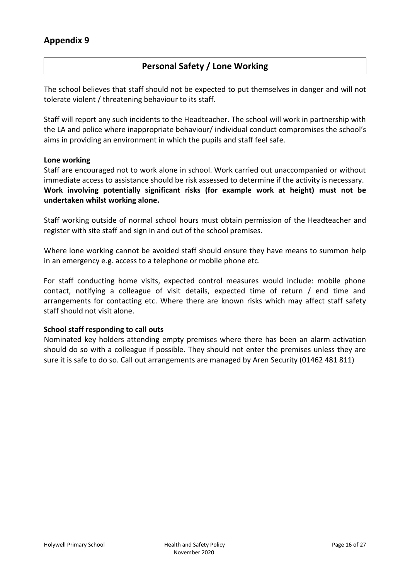### **Personal Safety / Lone Working**

The school believes that staff should not be expected to put themselves in danger and will not tolerate violent / threatening behaviour to its staff.

Staff will report any such incidents to the Headteacher. The school will work in partnership with the LA and police where inappropriate behaviour/ individual conduct compromises the school's aims in providing an environment in which the pupils and staff feel safe.

#### **Lone working**

Staff are encouraged not to work alone in school. Work carried out unaccompanied or without immediate access to assistance should be risk assessed to determine if the activity is necessary. **Work involving potentially significant risks (for example work at height) must not be undertaken whilst working alone.**

Staff working outside of normal school hours must obtain permission of the Headteacher and register with site staff and sign in and out of the school premises.

Where lone working cannot be avoided staff should ensure they have means to summon help in an emergency e.g. access to a telephone or mobile phone etc.

For staff conducting home visits, expected control measures would include: mobile phone contact, notifying a colleague of visit details, expected time of return / end time and arrangements for contacting etc. Where there are known risks which may affect staff safety staff should not visit alone.

### **School staff responding to call outs**

Nominated key holders attending empty premises where there has been an alarm activation should do so with a colleague if possible. They should not enter the premises unless they are sure it is safe to do so. Call out arrangements are managed by Aren Security (01462 481 811)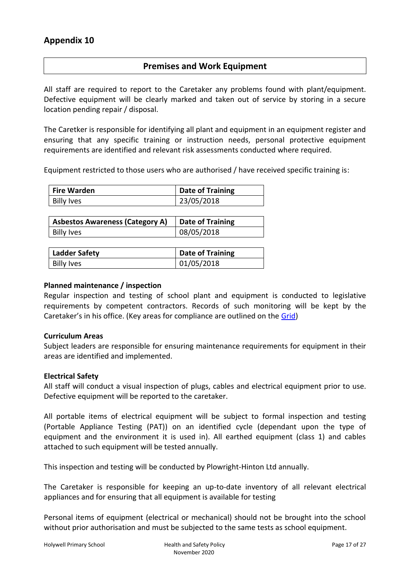### **Premises and Work Equipment**

All staff are required to report to the Caretaker any problems found with plant/equipment. Defective equipment will be clearly marked and taken out of service by storing in a secure location pending repair / disposal.

The Caretker is responsible for identifying all plant and equipment in an equipment register and ensuring that any specific training or instruction needs, personal protective equipment requirements are identified and relevant risk assessments conducted where required.

Equipment restricted to those users who are authorised / have received specific training is:

| Fire Warden | <b>Date of Training</b> |
|-------------|-------------------------|
| Billy Ives  | 23/05/2018              |

| <b>Asbestos Awareness (Category A)</b> | Date of Training |
|----------------------------------------|------------------|
| Billy Ives                             | 08/05/2018       |

| <b>Ladder Safety</b> | <b>Date of Training</b> |
|----------------------|-------------------------|
| <b>Billy Ives</b>    | 01/05/2018              |

#### **Planned maintenance / inspection**

Regular inspection and testing of school plant and equipment is conducted to legislative requirements by competent contractors. Records of such monitoring will be kept by the Caretaker's in his office. (Key areas for compliance are outlined on the [Grid\)](http://www.thegrid.org.uk/info/healthandsafety/manual.shtml#m)

#### **Curriculum Areas**

Subject leaders are responsible for ensuring maintenance requirements for equipment in their areas are identified and implemented.

#### **Electrical Safety**

All staff will conduct a visual inspection of plugs, cables and electrical equipment prior to use. Defective equipment will be reported to the caretaker.

All portable items of electrical equipment will be subject to formal inspection and testing (Portable Appliance Testing (PAT)) on an identified cycle (dependant upon the type of equipment and the environment it is used in). All earthed equipment (class 1) and cables attached to such equipment will be tested annually.

This inspection and testing will be conducted by Plowright-Hinton Ltd annually.

The Caretaker is responsible for keeping an up-to-date inventory of all relevant electrical appliances and for ensuring that all equipment is available for testing

Personal items of equipment (electrical or mechanical) should not be brought into the school without prior authorisation and must be subjected to the same tests as school equipment.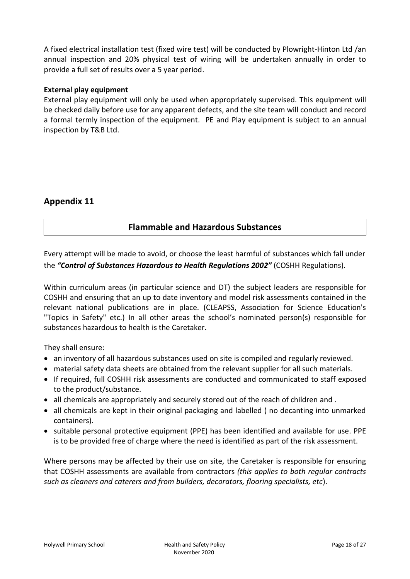A fixed electrical installation test (fixed wire test) will be conducted by Plowright-Hinton Ltd /an annual inspection and 20% physical test of wiring will be undertaken annually in order to provide a full set of results over a 5 year period.

### **External play equipment**

External play equipment will only be used when appropriately supervised. This equipment will be checked daily before use for any apparent defects, and the site team will conduct and record a formal termly inspection of the equipment. PE and Play equipment is subject to an annual inspection by T&B Ltd.

### **Appendix 11**

### **Flammable and Hazardous Substances**

Every attempt will be made to avoid, or choose the least harmful of substances which fall under the *"Control of Substances Hazardous to Health Regulations 2002"* (COSHH Regulations).

Within curriculum areas (in particular science and DT) the subject leaders are responsible for COSHH and ensuring that an up to date inventory and model risk assessments contained in the relevant national publications are in place. (CLEAPSS, Association for Science Education's "Topics in Safety" etc.) In all other areas the school's nominated person(s) responsible for substances hazardous to health is the Caretaker.

They shall ensure:

- an inventory of all hazardous substances used on site is compiled and regularly reviewed.
- material safety data sheets are obtained from the relevant supplier for all such materials.
- If required, full COSHH risk assessments are conducted and communicated to staff exposed to the product/substance.
- all chemicals are appropriately and securely stored out of the reach of children and.
- all chemicals are kept in their original packaging and labelled (no decanting into unmarked containers).
- suitable personal protective equipment (PPE) has been identified and available for use. PPE is to be provided free of charge where the need is identified as part of the risk assessment.

Where persons may be affected by their use on site, the Caretaker is responsible for ensuring that COSHH assessments are available from contractors *(this applies to both regular contracts such as cleaners and caterers and from builders, decorators, flooring specialists, etc*).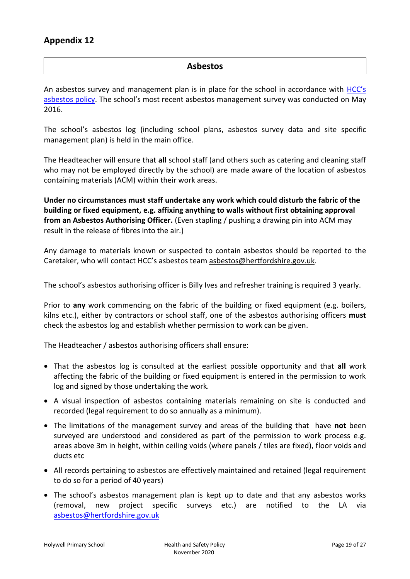### **Asbestos**

An asbestos survey and management plan is in place for the school in accordance with HCC's [asbestos policy](http://www.thegrid.org.uk/info/healthandsafety/manual.shtml#A). The school's most recent asbestos management survey was conducted on May 2016.

The school's asbestos log (including school plans, asbestos survey data and site specific management plan) is held in the main office.

The Headteacher will ensure that **all** school staff (and others such as catering and cleaning staff who may not be employed directly by the school) are made aware of the location of asbestos containing materials (ACM) within their work areas.

**Under no circumstances must staff undertake any work which could disturb the fabric of the building or fixed equipment, e.g. affixing anything to walls without first obtaining approval from an Asbestos Authorising Officer.** (Even stapling / pushing a drawing pin into ACM may result in the release of fibres into the air.)

Any damage to materials known or suspected to contain asbestos should be reported to the Caretaker, who will contact HCC's asbestos team [asbestos@hertfordshire.gov.uk.](mailto:asbestos@hertfordshire.gov.uk)

The school's asbestos authorising officer is Billy Ives and refresher training is required 3 yearly.

Prior to **any** work commencing on the fabric of the building or fixed equipment (e.g. boilers, kilns etc.), either by contractors or school staff, one of the asbestos authorising officers **must** check the asbestos log and establish whether permission to work can be given.

The Headteacher / asbestos authorising officers shall ensure:

- That the asbestos log is consulted at the earliest possible opportunity and that **all** work affecting the fabric of the building or fixed equipment is entered in the permission to work log and signed by those undertaking the work.
- A visual inspection of asbestos containing materials remaining on site is conducted and recorded (legal requirement to do so annually as a minimum).
- The limitations of the management survey and areas of the building that have **not** been surveyed are understood and considered as part of the permission to work process e.g. areas above 3m in height, within ceiling voids (where panels / tiles are fixed), floor voids and ducts etc
- All records pertaining to asbestos are effectively maintained and retained (legal requirement to do so for a period of 40 years)
- The school's asbestos management plan is kept up to date and that any asbestos works (removal, new project specific surveys etc.) are notified to the LA via [asbestos@hertfordshire.gov.uk](mailto:asbestos@hertfordshire.gov.uk)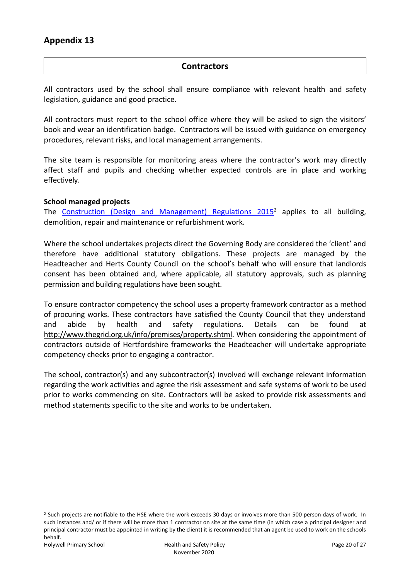### **Contractors**

All contractors used by the school shall ensure compliance with relevant health and safety legislation, guidance and good practice.

All contractors must report to the school office where they will be asked to sign the visitors' book and wear an identification badge. Contractors will be issued with guidance on emergency procedures, relevant risks, and local management arrangements.

The site team is responsible for monitoring areas where the contractor's work may directly affect staff and pupils and checking whether expected controls are in place and working effectively.

### **School managed projects**

The Construction (Design and [Management\) Regulations 2015](http://www.hse.gov.uk/construction/cdm/2015/index.htm?ebul=gd-cons/jun15&cr=1)<sup>2</sup> applies to all building, demolition, repair and maintenance or refurbishment work.

Where the school undertakes projects direct the Governing Body are considered the 'client' and therefore have additional statutory obligations. These projects are managed by the Headteacher and Herts County Council on the school's behalf who will ensure that landlords consent has been obtained and, where applicable, all statutory approvals, such as planning permission and building regulations have been sought.

To ensure contractor competency the school uses a property framework contractor as a method of procuring works. These contractors have satisfied the County Council that they understand and abide by health and safety regulations. Details can be found at [http://www.thegrid.org.uk/info/premises/property.shtml.](http://www.thegrid.org.uk/info/premises/property.shtml) When considering the appointment of contractors outside of Hertfordshire frameworks the Headteacher will undertake appropriate competency checks prior to engaging a contractor.

The school, contractor(s) and any subcontractor(s) involved will exchange relevant information regarding the work activities and agree the risk assessment and safe systems of work to be used prior to works commencing on site. Contractors will be asked to provide risk assessments and method statements specific to the site and works to be undertaken.

 $\overline{a}$ 

<sup>&</sup>lt;sup>2</sup> Such projects are notifiable to the HSE where the work exceeds 30 days or involves more than 500 person days of work. In such instances and/ or if there will be more than 1 contractor on site at the same time (in which case a principal designer and principal contractor must be appointed in writing by the client) it is recommended that an agent be used to work on the schools behalf.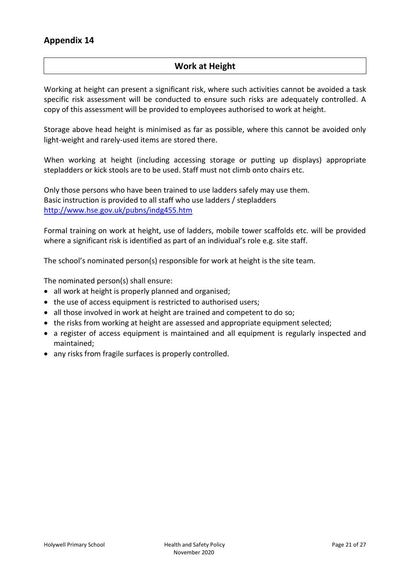### **Work at Height**

Working at height can present a significant risk, where such activities cannot be avoided a task specific risk assessment will be conducted to ensure such risks are adequately controlled. A copy of this assessment will be provided to employees authorised to work at height.

Storage above head height is minimised as far as possible, where this cannot be avoided only light-weight and rarely-used items are stored there.

When working at height (including accessing storage or putting up displays) appropriate stepladders or kick stools are to be used. Staff must not climb onto chairs etc.

Only those persons who have been trained to use ladders safely may use them. Basic instruction is provided to all staff who use ladders / stepladders <http://www.hse.gov.uk/pubns/indg455.htm>

Formal training on work at height, use of ladders, mobile tower scaffolds etc. will be provided where a significant risk is identified as part of an individual's role e.g. site staff.

The school's nominated person(s) responsible for work at height is the site team.

The nominated person(s) shall ensure:

- all work at height is properly planned and organised;
- the use of access equipment is restricted to authorised users;
- all those involved in work at height are trained and competent to do so;
- the risks from working at height are assessed and appropriate equipment selected;
- a register of access equipment is maintained and all equipment is regularly inspected and maintained;
- any risks from fragile surfaces is properly controlled.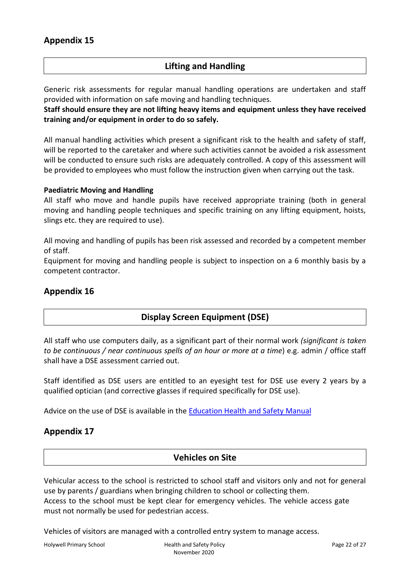### **Lifting and Handling**

Generic risk assessments for regular manual handling operations are undertaken and staff provided with information on safe moving and handling techniques.

**Staff should ensure they are not lifting heavy items and equipment unless they have received training and/or equipment in order to do so safely.**

All manual handling activities which present a significant risk to the health and safety of staff, will be reported to the caretaker and where such activities cannot be avoided a risk assessment will be conducted to ensure such risks are adequately controlled. A copy of this assessment will be provided to employees who must follow the instruction given when carrying out the task.

#### **Paediatric Moving and Handling**

All staff who move and handle pupils have received appropriate training (both in general moving and handling people techniques and specific training on any lifting equipment, hoists, slings etc. they are required to use).

All moving and handling of pupils has been risk assessed and recorded by a competent member of staff.

Equipment for moving and handling people is subject to inspection on a 6 monthly basis by a competent contractor.

### **Appendix 16**

### **Display Screen Equipment (DSE)**

All staff who use computers daily, as a significant part of their normal work *(significant is taken to be continuous / near continuous spells of an hour or more at a time*) e.g. admin / office staff shall have a DSE assessment carried out.

Staff identified as DSE users are entitled to an eyesight test for DSE use every 2 years by a qualified optician (and corrective glasses if required specifically for DSE use).

Advice on the use of DSE is available in the [Education Health and Safety](http://www.thegrid.org.uk/info/healthandsafety/documents_manual/display_screen_equipment.doc) Manual

### **Appendix 17**

### **Vehicles on Site**

Vehicular access to the school is restricted to school staff and visitors only and not for general use by parents / guardians when bringing children to school or collecting them. Access to the school must be kept clear for emergency vehicles. The vehicle access gate must not normally be used for pedestrian access.

Vehicles of visitors are managed with a controlled entry system to manage access.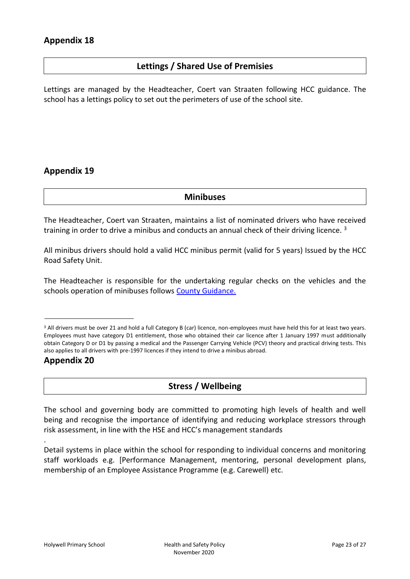### **Lettings / Shared Use of Premisies**

Lettings are managed by the Headteacher, Coert van Straaten following HCC guidance. The school has a lettings policy to set out the perimeters of use of the school site.

### **Appendix 19**

**Minibuses**

The Headteacher, Coert van Straaten, maintains a list of nominated drivers who have received training in order to drive a minibus and conducts an annual check of their driving licence.  $3$ 

All minibus drivers should hold a valid HCC minibus permit (valid for 5 years) Issued by the HCC Road Safety Unit.

The Headteacher is responsible for the undertaking regular checks on the vehicles and the schools operation of minibuses follows [County Guidance.](http://www.hertsdirect.org/services/transtreets/rsu/driving/advice/minibus/)

### **Appendix 20**

.

### **Stress / Wellbeing**

The school and governing body are committed to promoting high levels of health and well being and recognise the importance of identifying and reducing workplace stressors through risk assessment, in line with the HSE and HCC's management standards

Detail systems in place within the school for responding to individual concerns and monitoring staff workloads e.g. [Performance Management, mentoring, personal development plans, membership of an Employee Assistance Programme (e.g. Carewell) etc.

<sup>&</sup>lt;sup>3</sup> All drivers must be over 21 and hold a full Category B (car) licence, non-employees must have held this for at least two years. Employees must have category D1 entitlement, those who obtained their car licence after 1 January 1997 must additionally obtain Category D or D1 by passing a medical and the Passenger Carrying Vehicle (PCV) theory and practical driving tests. This also applies to all drivers with pre-1997 licences if they intend to drive a minibus abroad.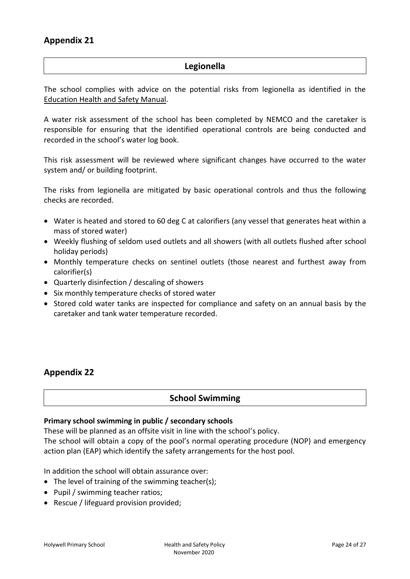### **Legionella**

The school complies with advice on the potential risks from legionella as identified in the [Education Health and Safety Manual.](http://www.thegrid.org.uk/info/healthandsafety/manual.shtml#l)

A water risk assessment of the school has been completed by NEMCO and the caretaker is responsible for ensuring that the identified operational controls are being conducted and recorded in the school's water log book.

This risk assessment will be reviewed where significant changes have occurred to the water system and/ or building footprint.

The risks from legionella are mitigated by basic operational controls and thus the following checks are recorded.

- Water is heated and stored to 60 deg C at calorifiers (any vessel that generates heat within a mass of stored water)
- Weekly flushing of seldom used outlets and all showers (with all outlets flushed after school holiday periods)
- Monthly temperature checks on sentinel outlets (those nearest and furthest away from calorifier(s)
- Quarterly disinfection / descaling of showers
- Six monthly temperature checks of stored water
- Stored cold water tanks are inspected for compliance and safety on an annual basis by the caretaker and tank water temperature recorded.

### **Appendix 22**

### **School Swimming**

### **Primary school swimming in public / secondary schools**

These will be planned as an offsite visit in line with the school's policy.

The school will obtain a copy of the pool's normal operating procedure (NOP) and emergency action plan (EAP) which identify the safety arrangements for the host pool.

In addition the school will obtain assurance over:

- The level of training of the swimming teacher(s);
- Pupil / swimming teacher ratios;
- Rescue / lifeguard provision provided;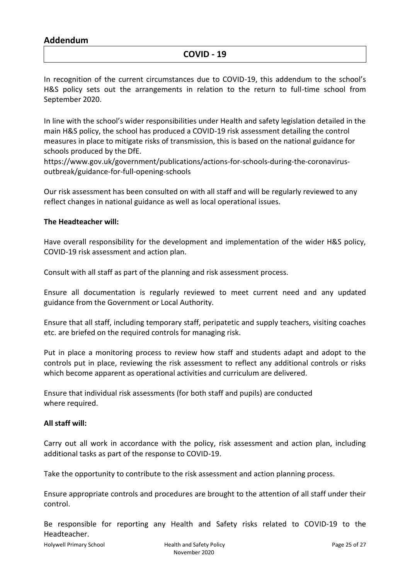### **Addendum**

### **COVID - 19**

In recognition of the current circumstances due to COVID-19, this addendum to the school's H&S policy sets out the arrangements in relation to the return to full-time school from September 2020.

In line with the school's wider responsibilities under Health and safety legislation detailed in the main H&S policy, the school has produced a COVID-19 risk assessment detailing the control measures in place to mitigate risks of transmission, this is based on the national guidance for schools produced by the DfE.

[https://www.gov.uk/government/publications/actions-for-schools-during-the-coronavirus](https://www.gov.uk/government/publications/actions-for-schools-during-the-coronavirus-outbreak/guidance-for-full-opening-schools)[outbreak/guidance-for-full-opening-schools](https://www.gov.uk/government/publications/actions-for-schools-during-the-coronavirus-outbreak/guidance-for-full-opening-schools)

Our risk assessment has been consulted on with all staff and will be regularly reviewed to any reflect changes in national guidance as well as local operational issues.

#### **The Headteacher will:**

Have overall responsibility for the development and implementation of the wider H&S policy, COVID-19 risk assessment and action plan.

Consult with all staff as part of the planning and risk assessment process.

Ensure all documentation is regularly reviewed to meet current need and any updated guidance from the Government or Local Authority.

Ensure that all staff, including temporary staff, peripatetic and supply teachers, visiting coaches etc. are briefed on the required controls for managing risk.

Put in place a monitoring process to review how staff and students adapt and adopt to the controls put in place, reviewing the risk assessment to reflect any additional controls or risks which become apparent as operational activities and curriculum are delivered.

Ensure that individual risk assessments (for both staff and pupils) are conducted where required.

### **All staff will:**

Carry out all work in accordance with the policy, risk assessment and action plan, including additional tasks as part of the response to COVID-19.

Take the opportunity to contribute to the risk assessment and action planning process.

Ensure appropriate controls and procedures are brought to the attention of all staff under their control.

Be responsible for reporting any Health and Safety risks related to COVID-19 to the Headteacher.